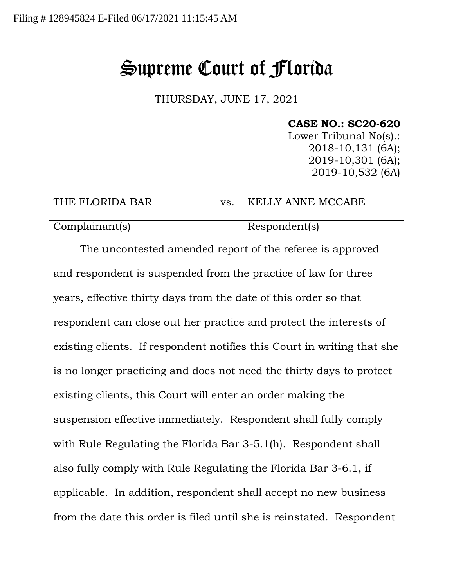## Supreme Court of Florida

THURSDAY, JUNE 17, 2021

## **CASE NO.: SC20-620**

Lower Tribunal No(s).: 2018-10,131 (6A); 2019-10,301 (6A); 2019-10,532 (6A)

THE FLORIDA BAR vs. KELLY ANNE MCCABE

Complainant(s) Respondent(s)

The uncontested amended report of the referee is approved and respondent is suspended from the practice of law for three years, effective thirty days from the date of this order so that respondent can close out her practice and protect the interests of existing clients. If respondent notifies this Court in writing that she is no longer practicing and does not need the thirty days to protect existing clients, this Court will enter an order making the suspension effective immediately. Respondent shall fully comply with Rule Regulating the Florida Bar 3-5.1(h). Respondent shall also fully comply with Rule Regulating the Florida Bar 3-6.1, if applicable. In addition, respondent shall accept no new business from the date this order is filed until she is reinstated. Respondent